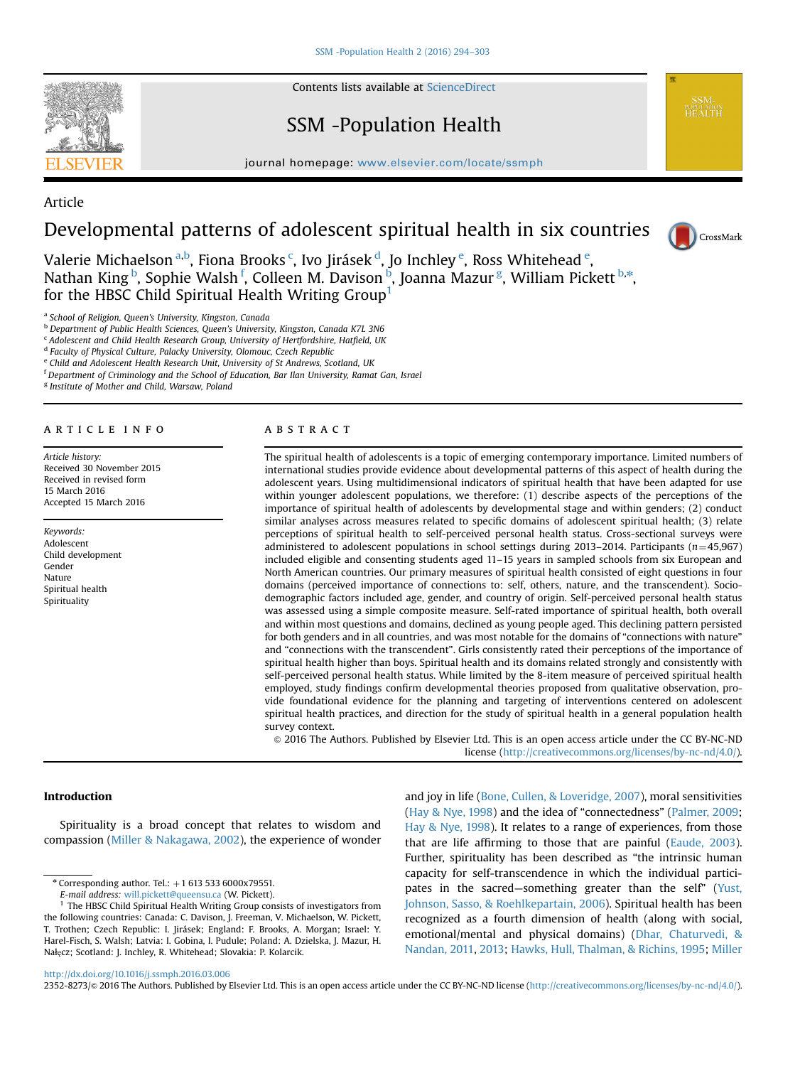Contents lists available at [ScienceDirect](www.sciencedirect.com/science/journal/23528273)

SSM -Population Health

journal homepage: <www.elsevier.com/locate/ssmph>p/locate/ssmphp/locate/ssmphp/locate/ssm



Article Developmental patterns of adolescent spiritual health in six countries

Valerie Michaelson <sup>a,b</sup>, Fiona Brooks <sup>c</sup>, Ivo Jirásek <sup>d</sup>, Jo Inchley <sup>e</sup>, Ross Whitehead <sup>e</sup>, Nathan King <sup>b</sup>, Sophie Walsh <sup>f</sup>, Colleen M. Davison <sup>b</sup>, Joanna Mazur <sup>g</sup>, William Pickett <sup>b,\*</sup>, for the HBSC Child Spiritual Health Writing Group<sup>1</sup>

<sup>b</sup> Department of Public Health Sciences, Queen's University, Kingston, Canada K7L 3N6

<sup>c</sup> Adolescent and Child Health Research Group, University of Hertfordshire, Hatfield, UK

<sup>d</sup> Faculty of Physical Culture, Palacky University, Olomouc, Czech Republic

<sup>e</sup> Child and Adolescent Health Research Unit, University of St Andrews, Scotland, UK

<sup>f</sup> Department of Criminology and the School of Education, Bar Ilan University, Ramat Gan, Israel

<sup>g</sup> Institute of Mother and Child, Warsaw, Poland

# article info

Article history: Received 30 November 2015 Received in revised form 15 March 2016 Accepted 15 March 2016

Keywords: Adolescent Child development Gender Nature Spiritual health Spirituality

# abstract

The spiritual health of adolescents is a topic of emerging contemporary importance. Limited numbers of international studies provide evidence about developmental patterns of this aspect of health during the adolescent years. Using multidimensional indicators of spiritual health that have been adapted for use within younger adolescent populations, we therefore: (1) describe aspects of the perceptions of the importance of spiritual health of adolescents by developmental stage and within genders; (2) conduct similar analyses across measures related to specific domains of adolescent spiritual health; (3) relate perceptions of spiritual health to self-perceived personal health status. Cross-sectional surveys were administered to adolescent populations in school settings during 2013–2014. Participants ( $n=45,967$ ) included eligible and consenting students aged 11–15 years in sampled schools from six European and North American countries. Our primary measures of spiritual health consisted of eight questions in four domains (perceived importance of connections to: self, others, nature, and the transcendent). Sociodemographic factors included age, gender, and country of origin. Self-perceived personal health status was assessed using a simple composite measure. Self-rated importance of spiritual health, both overall and within most questions and domains, declined as young people aged. This declining pattern persisted for both genders and in all countries, and was most notable for the domains of "connections with nature" and "connections with the transcendent". Girls consistently rated their perceptions of the importance of spiritual health higher than boys. Spiritual health and its domains related strongly and consistently with self-perceived personal health status. While limited by the 8-item measure of perceived spiritual health employed, study findings confirm developmental theories proposed from qualitative observation, provide foundational evidence for the planning and targeting of interventions centered on adolescent spiritual health practices, and direction for the study of spiritual health in a general population health survey context.

& 2016 The Authors. Published by Elsevier Ltd. This is an open access article under the CC BY-NC-ND license (http://creativecommons.org/licenses/by-nc-nd/4.0/).

# Introduction

Spirituality is a broad concept that relates to wisdom and compassion ([Miller & Nakagawa, 2002\)](#page-8-0), the experience of wonder

and joy in life [\(Bone, Cullen,](#page-7-0) & [Loveridge, 2007\)](#page-7-0), moral sensitivities ([Hay & Nye, 1998](#page-8-0)) and the idea of "connectedness" [\(Palmer, 2009;](#page-8-0) [Hay](#page-8-0) [& Nye, 1998](#page-8-0)). It relates to a range of experiences, from those that are life affirming to those that are painful [\(Eaude, 2003\)](#page-8-0). Further, spirituality has been described as "the intrinsic human capacity for self-transcendence in which the individual participates in the sacred—something greater than the self" [\(Yust,](#page-9-0) [Johnson, Sasso,](#page-9-0) [& Roehlkepartain, 2006\)](#page-9-0). Spiritual health has been recognized as a fourth dimension of health (along with social, emotional/mental and physical domains) [\(Dhar, Chaturvedi,](#page-8-0) & [Nandan, 2011](#page-8-0), [2013](#page-8-0); [Hawks, Hull, Thalman, & Richins, 1995](#page-8-0); [Miller](#page-8-0)

<http://dx.doi.org/10.1016/j.ssmph.2016.03.006>

2352-8273/@ 2016 The Authors. Published by Elsevier Ltd. This is an open access article under the CC BY-NC-ND license (http://creativecommons.org/licenses/by-nc-nd/4.0/).

a School of Religion, Queen's University, Kingston, Canada

 $*$  Corresponding author. Tel.:  $+1$  613 533 6000x79551.

E-mail address: [will.pickett@queensu.ca](mailto:will.pickett@queensu.ca) (W. Pickett).

<sup>&</sup>lt;sup>1</sup> The HBSC Child Spiritual Health Writing Group consists of investigators from the following countries: Canada: C. Davison, J. Freeman, V. Michaelson, W. Pickett, T. Trothen; Czech Republic: I. Jirásek; England: F. Brooks, A. Morgan; Israel: Y. Harel-Fisch, S. Walsh; Latvia: I. Gobina, I. Pudule; Poland: A. Dzielska, J. Mazur, H. Nałęcz; Scotland: J. Inchley, R. Whitehead; Slovakia: P. Kolarcik.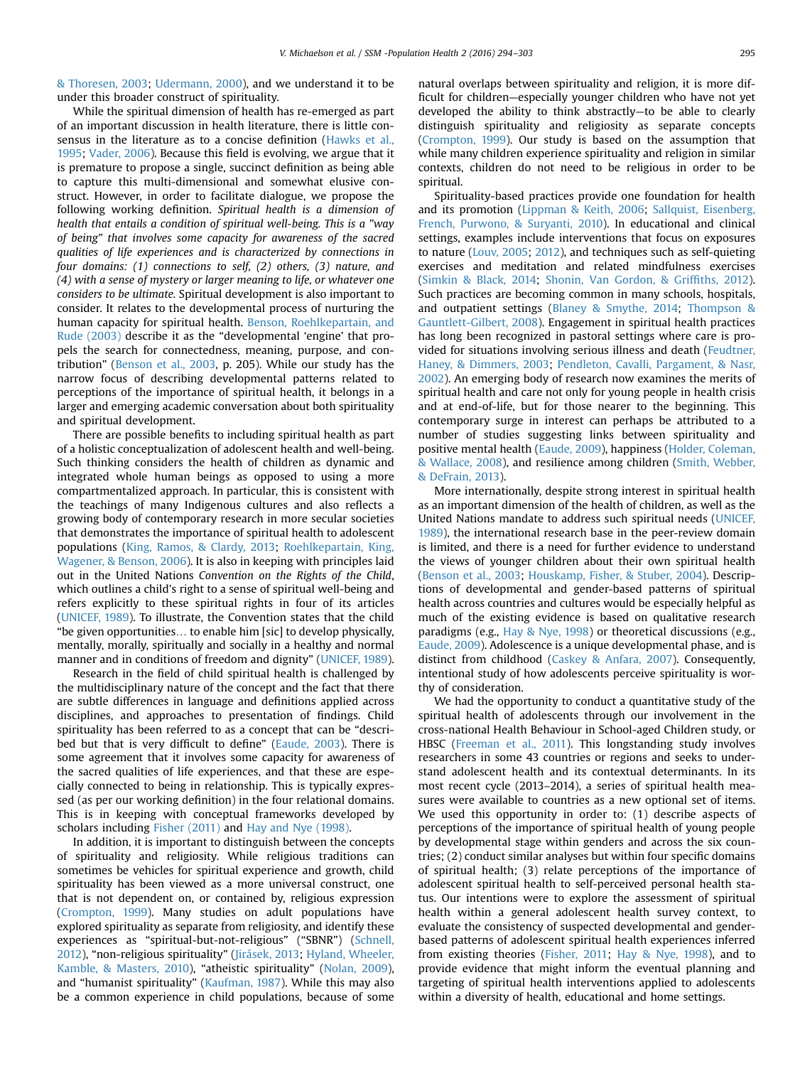[& Thoresen, 2003;](#page-8-0) [Udermann, 2000](#page-9-0)), and we understand it to be under this broader construct of spirituality.

While the spiritual dimension of health has re-emerged as part of an important discussion in health literature, there is little consensus in the literature as to a concise definition ([Hawks et al.,](#page-8-0) [1995](#page-8-0); [Vader, 2006\)](#page-9-0). Because this field is evolving, we argue that it is premature to propose a single, succinct definition as being able to capture this multi-dimensional and somewhat elusive construct. However, in order to facilitate dialogue, we propose the following working definition. Spiritual health is a dimension of health that entails a condition of spiritual well-being. This is a "way of being" that involves some capacity for awareness of the sacred qualities of life experiences and is characterized by connections in four domains: (1) connections to self, (2) others, (3) nature, and (4) with a sense of mystery or larger meaning to life, or whatever one considers to be ultimate. Spiritual development is also important to consider. It relates to the developmental process of nurturing the human capacity for spiritual health. [Benson, Roehlkepartain, and](#page-7-0) [Rude \(2003\)](#page-7-0) describe it as the "developmental 'engine' that propels the search for connectedness, meaning, purpose, and contribution" ([Benson et al., 2003](#page-7-0), p. 205). While our study has the narrow focus of describing developmental patterns related to perceptions of the importance of spiritual health, it belongs in a larger and emerging academic conversation about both spirituality and spiritual development.

There are possible benefits to including spiritual health as part of a holistic conceptualization of adolescent health and well-being. Such thinking considers the health of children as dynamic and integrated whole human beings as opposed to using a more compartmentalized approach. In particular, this is consistent with the teachings of many Indigenous cultures and also reflects a growing body of contemporary research in more secular societies that demonstrates the importance of spiritual health to adolescent populations [\(King, Ramos, & Clardy, 2013;](#page-8-0) [Roehlkepartain, King,](#page-8-0) [Wagener,](#page-8-0) & [Benson, 2006\)](#page-8-0). It is also in keeping with principles laid out in the United Nations Convention on the Rights of the Child, which outlines a child's right to a sense of spiritual well-being and refers explicitly to these spiritual rights in four of its articles ([UNICEF, 1989](#page-9-0)). To illustrate, the Convention states that the child "be given opportunities… to enable him [sic] to develop physically, mentally, morally, spiritually and socially in a healthy and normal manner and in conditions of freedom and dignity" ([UNICEF, 1989\)](#page-9-0).

Research in the field of child spiritual health is challenged by the multidisciplinary nature of the concept and the fact that there are subtle differences in language and definitions applied across disciplines, and approaches to presentation of findings. Child spirituality has been referred to as a concept that can be "described but that is very difficult to define" [\(Eaude, 2003](#page-8-0)). There is some agreement that it involves some capacity for awareness of the sacred qualities of life experiences, and that these are especially connected to being in relationship. This is typically expressed (as per our working definition) in the four relational domains. This is in keeping with conceptual frameworks developed by scholars including [Fisher \(2011\)](#page-8-0) and [Hay and Nye \(1998\)](#page-8-0).

In addition, it is important to distinguish between the concepts of spirituality and religiosity. While religious traditions can sometimes be vehicles for spiritual experience and growth, child spirituality has been viewed as a more universal construct, one that is not dependent on, or contained by, religious expression ([Crompton, 1999\)](#page-8-0). Many studies on adult populations have explored spirituality as separate from religiosity, and identify these experiences as "spiritual-but-not-religious" ("SBNR") [\(Schnell,](#page-8-0) [2012\)](#page-8-0), "non-religious spirituality" [\(Jirásek, 2013;](#page-8-0) [Hyland, Wheeler,](#page-8-0) [Kamble,](#page-8-0) & [Masters, 2010\)](#page-8-0), "atheistic spirituality" [\(Nolan, 2009\)](#page-8-0), and "humanist spirituality" ([Kaufman, 1987](#page-8-0)). While this may also be a common experience in child populations, because of some natural overlaps between spirituality and religion, it is more difficult for children—especially younger children who have not yet developed the ability to think abstractly—to be able to clearly distinguish spirituality and religiosity as separate concepts ([Crompton, 1999\)](#page-8-0). Our study is based on the assumption that while many children experience spirituality and religion in similar contexts, children do not need to be religious in order to be spiritual.

Spirituality-based practices provide one foundation for health and its promotion ([Lippman & Keith, 2006;](#page-8-0) [Sallquist, Eisenberg,](#page-8-0) [French, Purwono,](#page-8-0) & [Suryanti, 2010\)](#page-8-0). In educational and clinical settings, examples include interventions that focus on exposures to nature ([Louv, 2005](#page-8-0); [2012\)](#page-8-0), and techniques such as self-quieting exercises and meditation and related mindfulness exercises ([Simkin](#page-8-0) & [Black, 2014](#page-8-0); [Shonin, Van Gordon,](#page-8-0) & Griffi[ths, 2012\)](#page-8-0). Such practices are becoming common in many schools, hospitals, and outpatient settings [\(Blaney](#page-7-0) [& Smythe, 2014;](#page-7-0) [Thompson &](#page-9-0) [Gauntlett-Gilbert, 2008\)](#page-9-0). Engagement in spiritual health practices has long been recognized in pastoral settings where care is provided for situations involving serious illness and death [\(Feudtner,](#page-8-0) [Haney, & Dimmers, 2003;](#page-8-0) [Pendleton, Cavalli, Pargament, & Nasr,](#page-8-0) [2002\)](#page-8-0). An emerging body of research now examines the merits of spiritual health and care not only for young people in health crisis and at end-of-life, but for those nearer to the beginning. This contemporary surge in interest can perhaps be attributed to a number of studies suggesting links between spirituality and positive mental health [\(Eaude, 2009\)](#page-8-0), happiness [\(Holder, Coleman,](#page-8-0) [& Wallace, 2008](#page-8-0)), and resilience among children [\(Smith, Webber,](#page-9-0) [& DeFrain, 2013](#page-9-0)).

More internationally, despite strong interest in spiritual health as an important dimension of the health of children, as well as the United Nations mandate to address such spiritual needs ([UNICEF,](#page-9-0) [1989](#page-9-0)), the international research base in the peer-review domain is limited, and there is a need for further evidence to understand the views of younger children about their own spiritual health ([Benson et al., 2003;](#page-7-0) [Houskamp, Fisher,](#page-8-0) & [Stuber, 2004\)](#page-8-0). Descriptions of developmental and gender-based patterns of spiritual health across countries and cultures would be especially helpful as much of the existing evidence is based on qualitative research paradigms (e.g., [Hay & Nye, 1998\)](#page-8-0) or theoretical discussions (e.g., [Eaude, 2009\)](#page-8-0). Adolescence is a unique developmental phase, and is distinct from childhood [\(Caskey](#page-8-0) & [Anfara, 2007\)](#page-8-0). Consequently, intentional study of how adolescents perceive spirituality is worthy of consideration.

We had the opportunity to conduct a quantitative study of the spiritual health of adolescents through our involvement in the cross-national Health Behaviour in School-aged Children study, or HBSC [\(Freeman et al., 2011\)](#page-8-0). This longstanding study involves researchers in some 43 countries or regions and seeks to understand adolescent health and its contextual determinants. In its most recent cycle (2013–2014), a series of spiritual health measures were available to countries as a new optional set of items. We used this opportunity in order to: (1) describe aspects of perceptions of the importance of spiritual health of young people by developmental stage within genders and across the six countries; (2) conduct similar analyses but within four specific domains of spiritual health; (3) relate perceptions of the importance of adolescent spiritual health to self-perceived personal health status. Our intentions were to explore the assessment of spiritual health within a general adolescent health survey context, to evaluate the consistency of suspected developmental and genderbased patterns of adolescent spiritual health experiences inferred from existing theories ([Fisher, 2011;](#page-8-0) [Hay & Nye, 1998](#page-8-0)), and to provide evidence that might inform the eventual planning and targeting of spiritual health interventions applied to adolescents within a diversity of health, educational and home settings.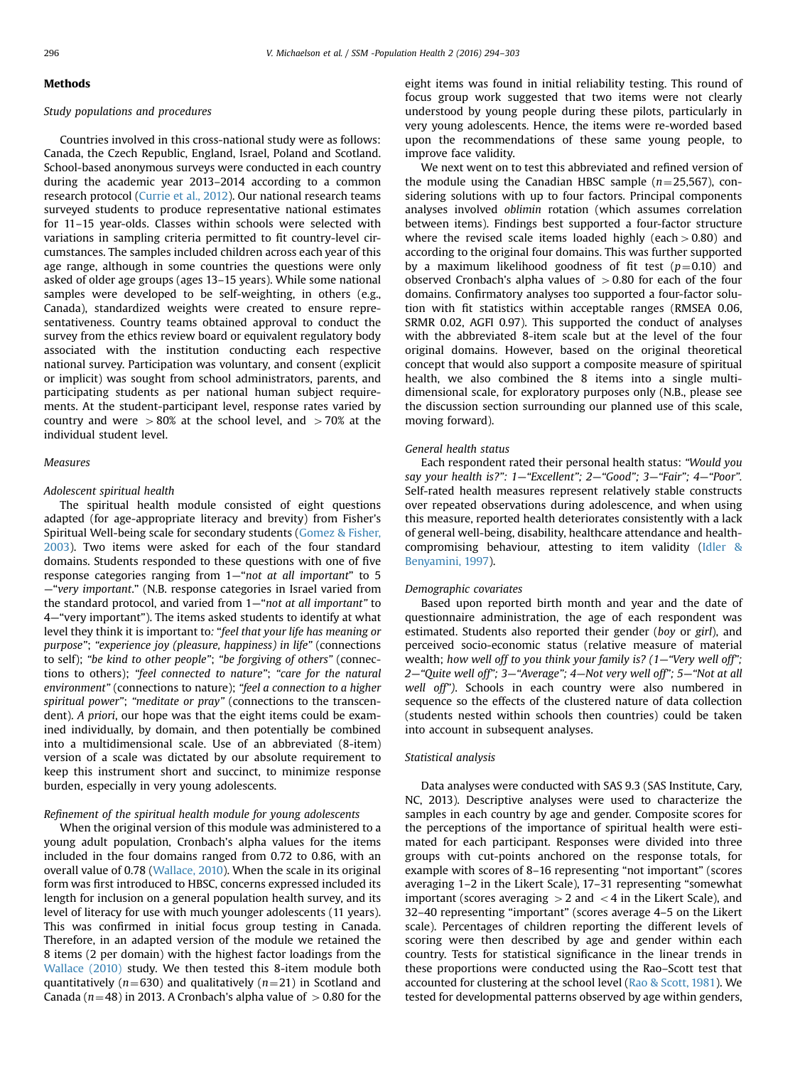#### Methods

## Study populations and procedures

Countries involved in this cross-national study were as follows: Canada, the Czech Republic, England, Israel, Poland and Scotland. School-based anonymous surveys were conducted in each country during the academic year 2013–2014 according to a common research protocol ([Currie et al., 2012\)](#page-8-0). Our national research teams surveyed students to produce representative national estimates for 11–15 year-olds. Classes within schools were selected with variations in sampling criteria permitted to fit country-level circumstances. The samples included children across each year of this age range, although in some countries the questions were only asked of older age groups (ages 13–15 years). While some national samples were developed to be self-weighting, in others (e.g., Canada), standardized weights were created to ensure representativeness. Country teams obtained approval to conduct the survey from the ethics review board or equivalent regulatory body associated with the institution conducting each respective national survey. Participation was voluntary, and consent (explicit or implicit) was sought from school administrators, parents, and participating students as per national human subject requirements. At the student-participant level, response rates varied by country and were  $>80%$  at the school level, and  $>70%$  at the individual student level.

#### Measures

# Adolescent spiritual health

The spiritual health module consisted of eight questions adapted (for age-appropriate literacy and brevity) from Fisher's Spiritual Well-being scale for secondary students ([Gomez](#page-8-0) [& Fisher,](#page-8-0) [2003\)](#page-8-0). Two items were asked for each of the four standard domains. Students responded to these questions with one of five response categories ranging from 1—"not at all important" to 5 —"very important." (N.B. response categories in Israel varied from the standard protocol, and varied from 1—"not at all important" to 4—"very important"). The items asked students to identify at what level they think it is important to: "feel that your life has meaning or purpose"; "experience joy (pleasure, happiness) in life" (connections to self); "be kind to other people"; "be forgiving of others" (connections to others); "feel connected to nature"; "care for the natural environment" (connections to nature); "feel a connection to a higher spiritual power"; "meditate or pray" (connections to the transcendent). A priori, our hope was that the eight items could be examined individually, by domain, and then potentially be combined into a multidimensional scale. Use of an abbreviated (8-item) version of a scale was dictated by our absolute requirement to keep this instrument short and succinct, to minimize response burden, especially in very young adolescents.

# Refinement of the spiritual health module for young adolescents

When the original version of this module was administered to a young adult population, Cronbach's alpha values for the items included in the four domains ranged from 0.72 to 0.86, with an overall value of 0.78 ([Wallace, 2010](#page-9-0)). When the scale in its original form was first introduced to HBSC, concerns expressed included its length for inclusion on a general population health survey, and its level of literacy for use with much younger adolescents (11 years). This was confirmed in initial focus group testing in Canada. Therefore, in an adapted version of the module we retained the 8 items (2 per domain) with the highest factor loadings from the [Wallace \(2010\)](#page-9-0) study. We then tested this 8-item module both quantitatively ( $n=630$ ) and qualitatively ( $n=21$ ) in Scotland and Canada ( $n=48$ ) in 2013. A Cronbach's alpha value of  $> 0.80$  for the eight items was found in initial reliability testing. This round of focus group work suggested that two items were not clearly understood by young people during these pilots, particularly in very young adolescents. Hence, the items were re-worded based upon the recommendations of these same young people, to improve face validity.

We next went on to test this abbreviated and refined version of the module using the Canadian HBSC sample  $(n=25,567)$ , considering solutions with up to four factors. Principal components analyses involved oblimin rotation (which assumes correlation between items). Findings best supported a four-factor structure where the revised scale items loaded highly (each  $> 0.80$ ) and according to the original four domains. This was further supported by a maximum likelihood goodness of fit test ( $p=0.10$ ) and observed Cronbach's alpha values of  $>0.80$  for each of the four domains. Confirmatory analyses too supported a four-factor solution with fit statistics within acceptable ranges (RMSEA 0.06, SRMR 0.02, AGFI 0.97). This supported the conduct of analyses with the abbreviated 8-item scale but at the level of the four original domains. However, based on the original theoretical concept that would also support a composite measure of spiritual health, we also combined the 8 items into a single multidimensional scale, for exploratory purposes only (N.B., please see the discussion section surrounding our planned use of this scale, moving forward).

#### General health status

Each respondent rated their personal health status: "Would you say your health is?": 1-"Excellent"; 2-"Good"; 3-"Fair"; 4-"Poor". Self-rated health measures represent relatively stable constructs over repeated observations during adolescence, and when using this measure, reported health deteriorates consistently with a lack of general well-being, disability, healthcare attendance and healthcompromising behaviour, attesting to item validity [\(Idler](#page-8-0) & [Benyamini, 1997](#page-8-0)).

## Demographic covariates

Based upon reported birth month and year and the date of questionnaire administration, the age of each respondent was estimated. Students also reported their gender (boy or girl), and perceived socio-economic status (relative measure of material wealth; how well off to you think your family is? (1—"Very well off"; 2—"Quite well off"; 3—"Average"; 4—Not very well off"; 5—"Not at all well off"). Schools in each country were also numbered in sequence so the effects of the clustered nature of data collection (students nested within schools then countries) could be taken into account in subsequent analyses.

#### Statistical analysis

Data analyses were conducted with SAS 9.3 (SAS Institute, Cary, NC, 2013). Descriptive analyses were used to characterize the samples in each country by age and gender. Composite scores for the perceptions of the importance of spiritual health were estimated for each participant. Responses were divided into three groups with cut-points anchored on the response totals, for example with scores of 8–16 representing "not important" (scores averaging 1–2 in the Likert Scale), 17–31 representing "somewhat important (scores averaging  $>2$  and  $<$  4 in the Likert Scale), and 32–40 representing "important" (scores average 4–5 on the Likert scale). Percentages of children reporting the different levels of scoring were then described by age and gender within each country. Tests for statistical significance in the linear trends in these proportions were conducted using the Rao–Scott test that accounted for clustering at the school level [\(Rao](#page-8-0) [& Scott, 1981](#page-8-0)). We tested for developmental patterns observed by age within genders,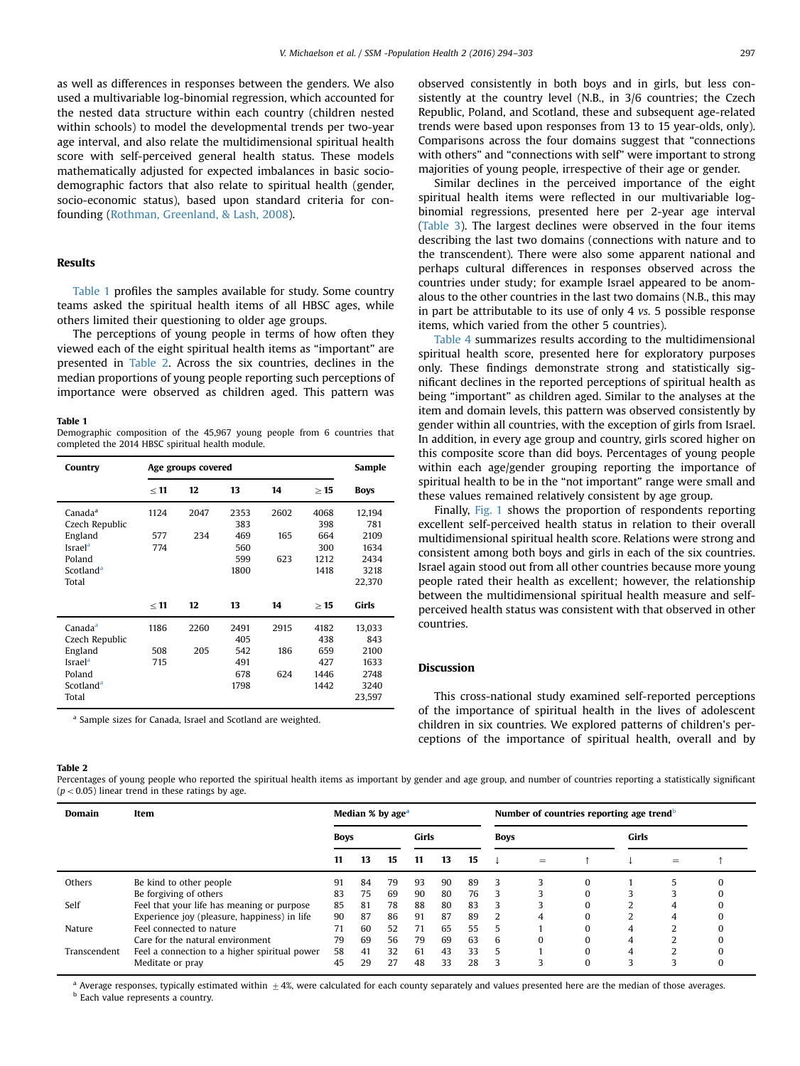as well as differences in responses between the genders. We also used a multivariable log-binomial regression, which accounted for the nested data structure within each country (children nested within schools) to model the developmental trends per two-year age interval, and also relate the multidimensional spiritual health score with self-perceived general health status. These models mathematically adjusted for expected imbalances in basic sociodemographic factors that also relate to spiritual health (gender, socio-economic status), based upon standard criteria for confounding [\(Rothman, Greenland,](#page-8-0) [& Lash, 2008\)](#page-8-0).

# Results

Table 1 profiles the samples available for study. Some country teams asked the spiritual health items of all HBSC ages, while others limited their questioning to older age groups.

The perceptions of young people in terms of how often they viewed each of the eight spiritual health items as "important" are presented in Table 2. Across the six countries, declines in the median proportions of young people reporting such perceptions of importance were observed as children aged. This pattern was

#### Table 1

Demographic composition of the 45,967 young people from 6 countries that completed the 2014 HBSC spiritual health module.

| Country               |           | Age groups covered |      |      |           | Sample       |
|-----------------------|-----------|--------------------|------|------|-----------|--------------|
|                       | $\leq 11$ | 12                 | 13   | 14   | $\geq 15$ | <b>Boys</b>  |
| Canada <sup>a</sup>   | 1124      | 2047               | 2353 | 2602 | 4068      | 12,194       |
| Czech Republic        |           |                    | 383  |      | 398       | 781          |
| England               | 577       | 234                | 469  | 165  | 664       | 2109         |
| Israel <sup>a</sup>   | 774       |                    | 560  |      | 300       | 1634         |
| Poland                |           |                    | 599  | 623  | 1212      | 2434         |
| Scotland <sup>a</sup> |           |                    | 1800 |      | 1418      | 3218         |
| Total                 |           |                    |      |      |           | 22,370       |
|                       |           |                    |      |      |           |              |
|                       | < 11      | 12                 | 13   | 14   | >15       | <b>Girls</b> |
| Canada <sup>a</sup>   | 1186      | 2260               | 2491 | 2915 | 4182      | 13,033       |
| Czech Republic        |           |                    | 405  |      | 438       | 843          |
| England               | 508       | 205                | 542  | 186  | 659       | 2100         |
| Israel <sup>a</sup>   | 715       |                    | 491  |      | 427       | 1633         |
| Poland                |           |                    | 678  | 624  | 1446      | 2748         |
| Scotland <sup>a</sup> |           |                    | 1798 |      | 1442      | 3240         |
|                       |           |                    |      |      |           |              |
| Total                 |           |                    |      |      |           | 23,597       |

<sup>a</sup> Sample sizes for Canada, Israel and Scotland are weighted.

#### Table 2

Percentages of young people who reported the spiritual health items as important by gender and age group, and number of countries reporting a statistically significant  $(p < 0.05)$  linear trend in these ratings by age.

| Domain       | Item                                          |             | Median % by age <sup>a</sup> |    |       |    |    |             | Number of countries reporting age trend <sup>b</sup> |       |     |  |
|--------------|-----------------------------------------------|-------------|------------------------------|----|-------|----|----|-------------|------------------------------------------------------|-------|-----|--|
|              |                                               | <b>Boys</b> |                              |    | Girls |    |    | <b>Boys</b> |                                                      | Girls |     |  |
|              |                                               | 11          | 13                           | 15 | 11    | 13 | 15 |             | $=$                                                  |       | $=$ |  |
| Others       | Be kind to other people                       | 91          | 84                           | 79 | 93    | 90 | 89 | 3           | ς                                                    |       |     |  |
|              | Be forgiving of others                        | 83          | 75                           | 69 | 90    | 80 | 76 | 3           |                                                      |       |     |  |
| Self         | Feel that your life has meaning or purpose    | 85          | 81                           | 78 | 88    | 80 | 83 | 3           | 3                                                    |       |     |  |
|              | Experience joy (pleasure, happiness) in life  | 90          | 87                           | 86 | 91    | 87 | 89 | 2           | 4                                                    |       |     |  |
| Nature       | Feel connected to nature                      | 71          | 60                           | 52 | 71    | 65 | 55 | 5           |                                                      | 4     |     |  |
|              | Care for the natural environment              | 79          | 69                           | 56 | 79    | 69 | 63 | 6           | $\Omega$                                             | 4     |     |  |
| Transcendent | Feel a connection to a higher spiritual power | 58          | 41                           | 32 | 61    | 43 | 33 | 5           |                                                      | 4     |     |  |
|              | Meditate or pray                              | 45          | 29                           | 27 | 48    | 33 | 28 | 3           | ς                                                    | ς     |     |  |

 $^{\rm a}$  Average responses, typically estimated within  $\pm 4$ %, were calculated for each county separately and values presented here are the median of those averages. **b** Each value represents a country.

observed consistently in both boys and in girls, but less consistently at the country level (N.B., in 3/6 countries; the Czech Republic, Poland, and Scotland, these and subsequent age-related trends were based upon responses from 13 to 15 year-olds, only). Comparisons across the four domains suggest that "connections with others" and "connections with self" were important to strong majorities of young people, irrespective of their age or gender.

Similar declines in the perceived importance of the eight spiritual health items were reflected in our multivariable logbinomial regressions, presented here per 2-year age interval ([Table 3\)](#page-4-0). The largest declines were observed in the four items describing the last two domains (connections with nature and to the transcendent). There were also some apparent national and perhaps cultural differences in responses observed across the countries under study; for example Israel appeared to be anomalous to the other countries in the last two domains (N.B., this may in part be attributable to its use of only 4 vs. 5 possible response items, which varied from the other 5 countries).

[Table 4](#page-5-0) summarizes results according to the multidimensional spiritual health score, presented here for exploratory purposes only. These findings demonstrate strong and statistically significant declines in the reported perceptions of spiritual health as being "important" as children aged. Similar to the analyses at the item and domain levels, this pattern was observed consistently by gender within all countries, with the exception of girls from Israel. In addition, in every age group and country, girls scored higher on this composite score than did boys. Percentages of young people within each age/gender grouping reporting the importance of spiritual health to be in the "not important" range were small and these values remained relatively consistent by age group.

Finally, [Fig. 1](#page-5-0) shows the proportion of respondents reporting excellent self-perceived health status in relation to their overall multidimensional spiritual health score. Relations were strong and consistent among both boys and girls in each of the six countries. Israel again stood out from all other countries because more young people rated their health as excellent; however, the relationship between the multidimensional spiritual health measure and selfperceived health status was consistent with that observed in other countries.

# Discussion

This cross-national study examined self-reported perceptions of the importance of spiritual health in the lives of adolescent children in six countries. We explored patterns of children's perceptions of the importance of spiritual health, overall and by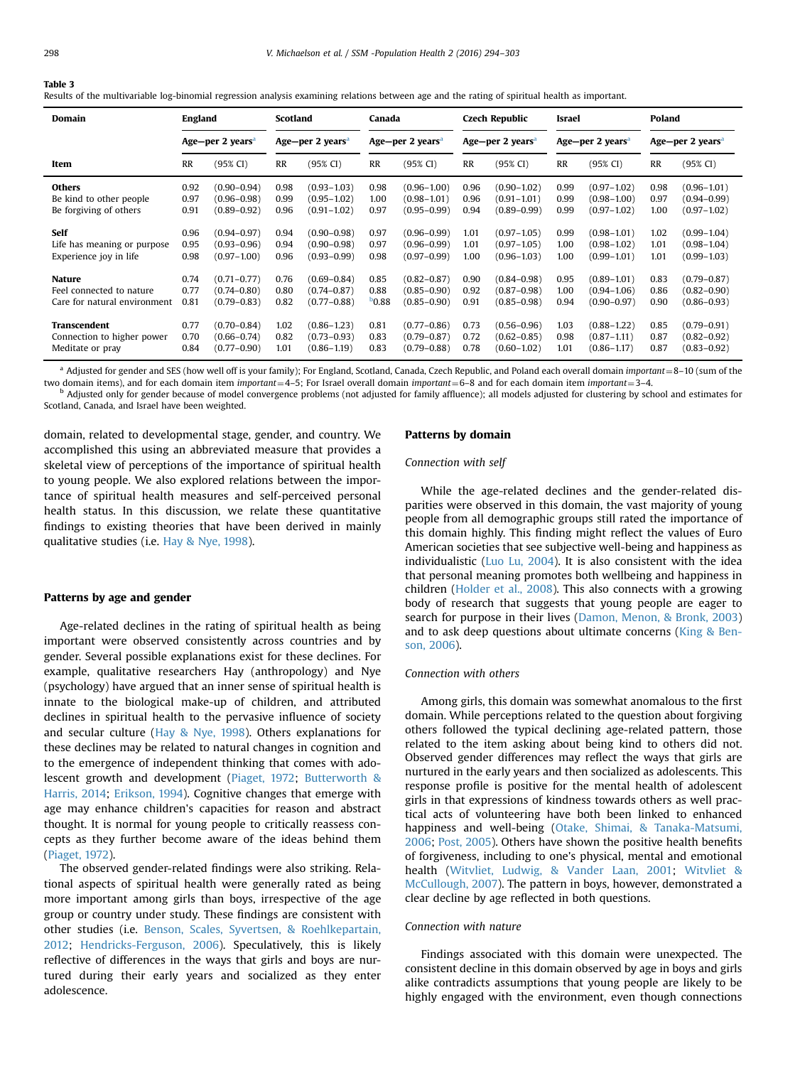#### <span id="page-4-0"></span>Table 3

Results of the multivariable log-binomial regression analysis examining relations between age and the rating of spiritual health as important.

| Domain                       | <b>England</b> |                              | Scotland |                              | Canada     |                              |           | <b>Czech Republic</b>        | Israel    |                              | Poland    |                              |
|------------------------------|----------------|------------------------------|----------|------------------------------|------------|------------------------------|-----------|------------------------------|-----------|------------------------------|-----------|------------------------------|
|                              |                | Age-per 2 years <sup>a</sup> |          | Age-per 2 years <sup>a</sup> |            | Age-per 2 years <sup>a</sup> |           | Age-per 2 years <sup>a</sup> |           | Age-per 2 years <sup>a</sup> |           | Age-per 2 years <sup>a</sup> |
| Item                         | RR             | (95% CI)                     | RR       | (95% CI)                     | <b>RR</b>  | (95% CI)                     | <b>RR</b> | (95% CI)                     | <b>RR</b> | (95% CI)                     | <b>RR</b> | (95% CI)                     |
| <b>Others</b>                | 0.92           | $(0.90 - 0.94)$              | 0.98     | $(0.93 - 1.03)$              | 0.98       | $(0.96 - 1.00)$              | 0.96      | $(0.90 - 1.02)$              | 0.99      | $(0.97 - 1.02)$              | 0.98      | $(0.96 - 1.01)$              |
| Be kind to other people      | 0.97           | $(0.96 - 0.98)$              | 0.99     | $(0.95 - 1.02)$              | 1.00       | $(0.98 - 1.01)$              | 0.96      | $(0.91 - 1.01)$              | 0.99      | $(0.98 - 1.00)$              | 0.97      | $(0.94 - 0.99)$              |
| Be forgiving of others       | 0.91           | $(0.89 - 0.92)$              | 0.96     | $(0.91 - 1.02)$              | 0.97       | $(0.95 - 0.99)$              | 0.94      | $(0.89 - 0.99)$              | 0.99      | $(0.97 - 1.02)$              | 1.00      | $(0.97 - 1.02)$              |
| Self                         | 0.96           | $(0.94 - 0.97)$              | 0.94     | $(0.90 - 0.98)$              | 0.97       | $(0.96 - 0.99)$              | 1.01      | $(0.97 - 1.05)$              | 0.99      | $(0.98 - 1.01)$              | 1.02      | $(0.99 - 1.04)$              |
| Life has meaning or purpose  | 0.95           | $(0.93 - 0.96)$              | 0.94     | $(0.90 - 0.98)$              | 0.97       | $(0.96 - 0.99)$              | 1.01      | $(0.97 - 1.05)$              | 1.00      | $(0.98 - 1.02)$              | 1.01      | $(0.98 - 1.04)$              |
| Experience joy in life       | 0.98           | $(0.97 - 1.00)$              | 0.96     | $(0.93 - 0.99)$              | 0.98       | $(0.97 - 0.99)$              | 1.00      | $(0.96 - 1.03)$              | 1.00      | $(0.99 - 1.01)$              | 1.01      | $(0.99 - 1.03)$              |
| <b>Nature</b>                | 0.74           | $(0.71 - 0.77)$              | 0.76     | $(0.69 - 0.84)$              | 0.85       | $(0.82 - 0.87)$              | 0.90      | $(0.84 - 0.98)$              | 0.95      | $(0.89 - 1.01)$              | 0.83      | $(0.79 - 0.87)$              |
| Feel connected to nature     | 0.77           | $(0.74 - 0.80)$              | 0.80     | $(0.74 - 0.87)$              | 0.88       | $(0.85 - 0.90)$              | 0.92      | $(0.87 - 0.98)$              | 1.00      | $(0.94 - 1.06)$              | 0.86      | $(0.82 - 0.90)$              |
| Care for natural environment | 0.81           | $(0.79 - 0.83)$              | 0.82     | $(0.77 - 0.88)$              | $D_{0.88}$ | $(0.85 - 0.90)$              | 0.91      | $(0.85 - 0.98)$              | 0.94      | $(0.90 - 0.97)$              | 0.90      | $(0.86 - 0.93)$              |
| Transcendent                 | 0.77           | $(0.70 - 0.84)$              | 1.02     | $(0.86 - 1.23)$              | 0.81       | $(0.77 - 0.86)$              | 0.73      | $(0.56 - 0.96)$              | 1.03      | $(0.88 - 1.22)$              | 0.85      | $(0.79 - 0.91)$              |
| Connection to higher power   | 0.70           | $(0.66 - 0.74)$              | 0.82     | $(0.73 - 0.93)$              | 0.83       | $(0.79 - 0.87)$              | 0.72      | $(0.62 - 0.85)$              | 0.98      | $(0.87 - 1.11)$              | 0.87      | $(0.82 - 0.92)$              |
| Meditate or pray             | 0.84           | $(0.77 - 0.90)$              | 1.01     | $(0.86 - 1.19)$              | 0.83       | $(0.79 - 0.88)$              | 0.78      | $(0.60 - 1.02)$              | 1.01      | $(0.86 - 1.17)$              | 0.87      | $(0.83 - 0.92)$              |

<sup>a</sup> Adjusted for gender and SES (how well off is your family); For England, Scotland, Canada, Czech Republic, and Poland each overall domain important = 8-10 (sum of the two domain items), and for each domain item *import* 

<sup>b</sup> Adjusted only for gender because of model convergence problems (not adjusted for family affluence); all models adjusted for clustering by school and estimates for Scotland, Canada, and Israel have been weighted.

domain, related to developmental stage, gender, and country. We accomplished this using an abbreviated measure that provides a skeletal view of perceptions of the importance of spiritual health to young people. We also explored relations between the importance of spiritual health measures and self-perceived personal health status. In this discussion, we relate these quantitative findings to existing theories that have been derived in mainly qualitative studies (i.e. [Hay](#page-8-0) & [Nye, 1998\)](#page-8-0).

# Patterns by age and gender

Age-related declines in the rating of spiritual health as being important were observed consistently across countries and by gender. Several possible explanations exist for these declines. For example, qualitative researchers Hay (anthropology) and Nye (psychology) have argued that an inner sense of spiritual health is innate to the biological make-up of children, and attributed declines in spiritual health to the pervasive influence of society and secular culture [\(Hay](#page-8-0) [& Nye, 1998](#page-8-0)). Others explanations for these declines may be related to natural changes in cognition and to the emergence of independent thinking that comes with adolescent growth and development [\(Piaget, 1972](#page-8-0); [Butterworth](#page-7-0) & [Harris, 2014](#page-7-0); [Erikson, 1994](#page-8-0)). Cognitive changes that emerge with age may enhance children's capacities for reason and abstract thought. It is normal for young people to critically reassess concepts as they further become aware of the ideas behind them ([Piaget, 1972](#page-8-0)).

The observed gender-related findings were also striking. Relational aspects of spiritual health were generally rated as being more important among girls than boys, irrespective of the age group or country under study. These findings are consistent with other studies (i.e. [Benson, Scales, Syvertsen,](#page-7-0) & [Roehlkepartain,](#page-7-0) [2012](#page-7-0); [Hendricks-Ferguson, 2006](#page-8-0)). Speculatively, this is likely reflective of differences in the ways that girls and boys are nurtured during their early years and socialized as they enter adolescence.

#### Patterns by domain

# Connection with self

While the age-related declines and the gender-related disparities were observed in this domain, the vast majority of young people from all demographic groups still rated the importance of this domain highly. This finding might reflect the values of Euro American societies that see subjective well-being and happiness as individualistic ([Luo Lu, 2004\)](#page-8-0). It is also consistent with the idea that personal meaning promotes both wellbeing and happiness in children [\(Holder et al., 2008\)](#page-8-0). This also connects with a growing body of research that suggests that young people are eager to search for purpose in their lives ([Damon, Menon,](#page-8-0) [& Bronk, 2003\)](#page-8-0) and to ask deep questions about ultimate concerns ([King](#page-8-0) [& Ben](#page-8-0)[son, 2006](#page-8-0)).

#### Connection with others

Among girls, this domain was somewhat anomalous to the first domain. While perceptions related to the question about forgiving others followed the typical declining age-related pattern, those related to the item asking about being kind to others did not. Observed gender differences may reflect the ways that girls are nurtured in the early years and then socialized as adolescents. This response profile is positive for the mental health of adolescent girls in that expressions of kindness towards others as well practical acts of volunteering have both been linked to enhanced happiness and well-being ([Otake, Shimai,](#page-8-0) [& Tanaka-Matsumi,](#page-8-0) [2006](#page-8-0); [Post, 2005\)](#page-8-0). Others have shown the positive health benefits of forgiveness, including to one's physical, mental and emotional health [\(Witvliet, Ludwig,](#page-9-0) & [Vander Laan, 2001;](#page-9-0) [Witvliet](#page-9-0) & [McCullough, 2007\)](#page-9-0). The pattern in boys, however, demonstrated a clear decline by age reflected in both questions.

#### Connection with nature

Findings associated with this domain were unexpected. The consistent decline in this domain observed by age in boys and girls alike contradicts assumptions that young people are likely to be highly engaged with the environment, even though connections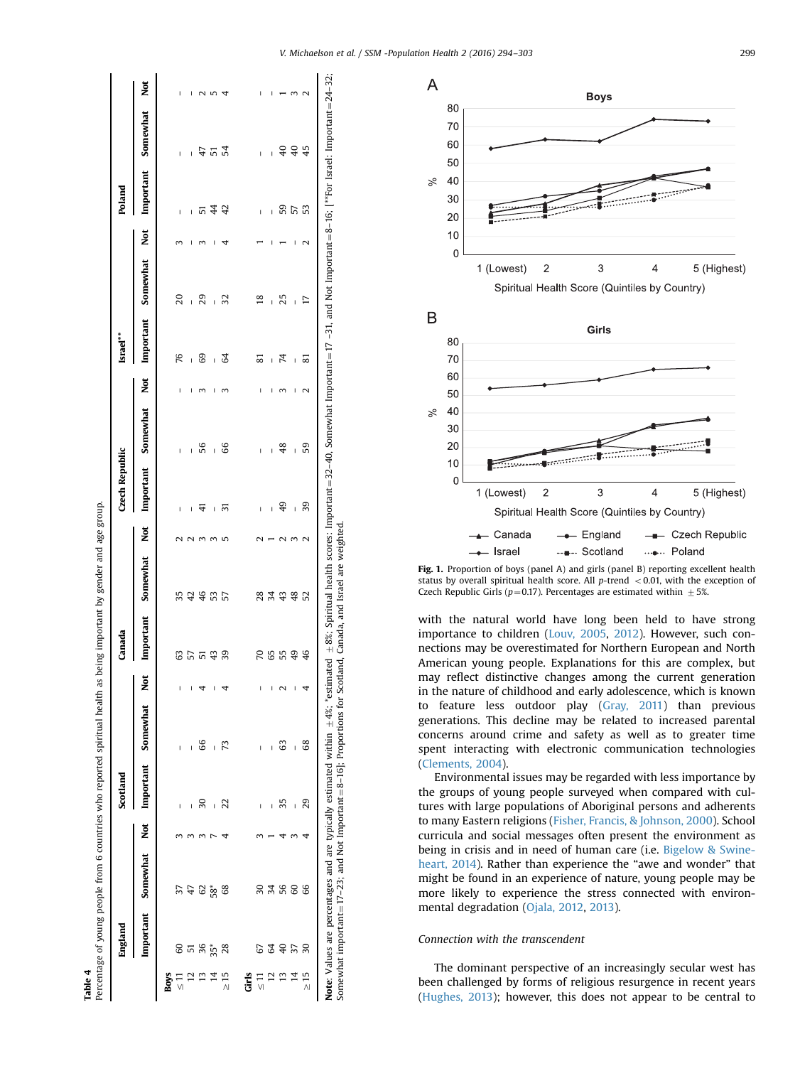<span id="page-5-0"></span>

|                | England         |          |   | Scotland     |                |     | Canada      |          |                 | Czech Republic |                |                       | Israel**       |                          |                 | Poland         |                 |                   |
|----------------|-----------------|----------|---|--------------|----------------|-----|-------------|----------|-----------------|----------------|----------------|-----------------------|----------------|--------------------------|-----------------|----------------|-----------------|-------------------|
|                | Important       | Somewhat | ž | Important    | Somewhat       | Not | Important   | Somewhat | Not             | Important      | Somewhat       | Not                   | Important      | Somewhat                 | Not             | Important      | Somewhat        | <b>Not</b>        |
| Boys           |                 |          |   |              |                |     |             |          |                 |                |                |                       |                |                          |                 |                |                 |                   |
| 등              | 60              |          |   |              | I              |     |             | 35       |                 | I              | I              | I                     | 76             | 20                       |                 | I              | I               | I                 |
|                |                 |          |   | $\mathbf{I}$ | I              |     |             |          | $\mathbf 2$     | $\mathbf{I}$   | $\mathbf{I}$   | $\mathbf I$           | Ï              | Ī                        | I               | $\mathbf{I}$   | I               | $\mathbf{I}$      |
|                | ភ និ<br>ភូមិ    | 4 8 %    |   | వ్గ          | 66             |     | <b>3553</b> | 34655    | 3               | 41             | 56             |                       | 89             | 29                       |                 |                | 47              |                   |
|                |                 |          |   | Ī            | Ī              |     |             |          |                 | ı              | Ï              | I                     | ï              | ï                        | I               | 꼬 소            | 54              | N IN              |
| $\frac{15}{2}$ | 28              | 68       |   | 22           | R              |     | 39          |          | 5               | ಸ              | 66             | $\sim$                | 3              | 32                       |                 | $\overline{4}$ |                 |                   |
| Ĕ              |                 |          |   |              |                |     |             |          |                 |                |                |                       |                |                          |                 |                |                 |                   |
| $\frac{1}{2}$  | 67              | 50       |   | I            | I              |     |             |          |                 | $\mathbf{I}$   | I              | I                     | ವ              | $\overline{8}$           |                 | $\mathbf{I}$   | $\mathbf{I}$    | I                 |
|                | $\mathfrak{F}$  | 34       |   | I            | I              |     | <b>PS</b>   | 28<br>34 |                 | $\overline{1}$ | $\overline{1}$ | I                     | $\overline{1}$ | $\overline{\phantom{a}}$ | ı               | $\mathbf{I}$   | $\mathbf{I}$    | I                 |
|                | $\uplus$        |          |   | స్           | ය              |     |             |          | ٢<br>√          | 9              | 48             |                       | 74             | 25                       |                 |                | $\overline{40}$ |                   |
|                | 57              | 56<br>60 |   | I            | $\overline{1}$ | I   | 55          | $48R$    | 3               | I              | I              | I                     | $\overline{1}$ | Ï                        | I               | និ ៤ ន         | $\overline{40}$ | 3                 |
| $\geq 15$      | $\overline{30}$ | 66       |   | 29           | 68             |     | 46          |          | $\mathbf{\sim}$ | 39             | 59             | $\mathbf{\mathsf{N}}$ | ವ              | Ε                        | $\mathbf{\sim}$ |                | 45              | $\mathbf{\Omega}$ |

Somewhat important $=17-23$ ; and Not Important $=8-16$ ]; Proportions for Scotland, Canada, and Israel are weighted.

Somewhat important =  $17-23$ ; and Not Important =  $8-16$ ; Proportions for Scotland, Canada, and Israel are weighted.



Fig. 1. Proportion of boys (panel A) and girls (panel B) reporting excellent health status by overall spiritual health score. All  $p$ -trend  $<$  0.01, with the exception of Czech Republic Girls ( $p=0.17$ ). Percentages are estimated within  $\pm$  5%.

with the natural world have long been held to have strong importance to children ([Louv, 2005,](#page-8-0) [2012\)](#page-8-0). However, such connections may be overestimated for Northern European and North American young people. Explanations for this are complex, but may reflect distinctive changes among the current generation in the nature of childhood and early adolescence, which is known to feature less outdoor play ([Gray, 2011\)](#page-8-0) than previous generations. This decline may be related to increased parental concerns around crime and safety as well as to greater time spent interacting with electronic communication technologies ([Clements, 2004\)](#page-8-0).

Environmental issues may be regarded with less importance by the groups of young people surveyed when compared with cultures with large populations of Aboriginal persons and adherents to many Eastern religions [\(Fisher, Francis, & Johnson, 2000\)](#page-8-0). School curricula and social messages often present the environment as being in crisis and in need of human care (i.e. [Bigelow](#page-7-0) & [Swine](#page-7-0)[heart, 2014\)](#page-7-0). Rather than experience the "awe and wonder" that might be found in an experience of nature, young people may be more likely to experience the stress connected with environmental degradation [\(Ojala, 2012,](#page-8-0) [2013](#page-8-0)).

# Connection with the transcendent

The dominant perspective of an increasingly secular west has been challenged by forms of religious resurgence in recent years ([Hughes, 2013\)](#page-8-0); however, this does not appear to be central to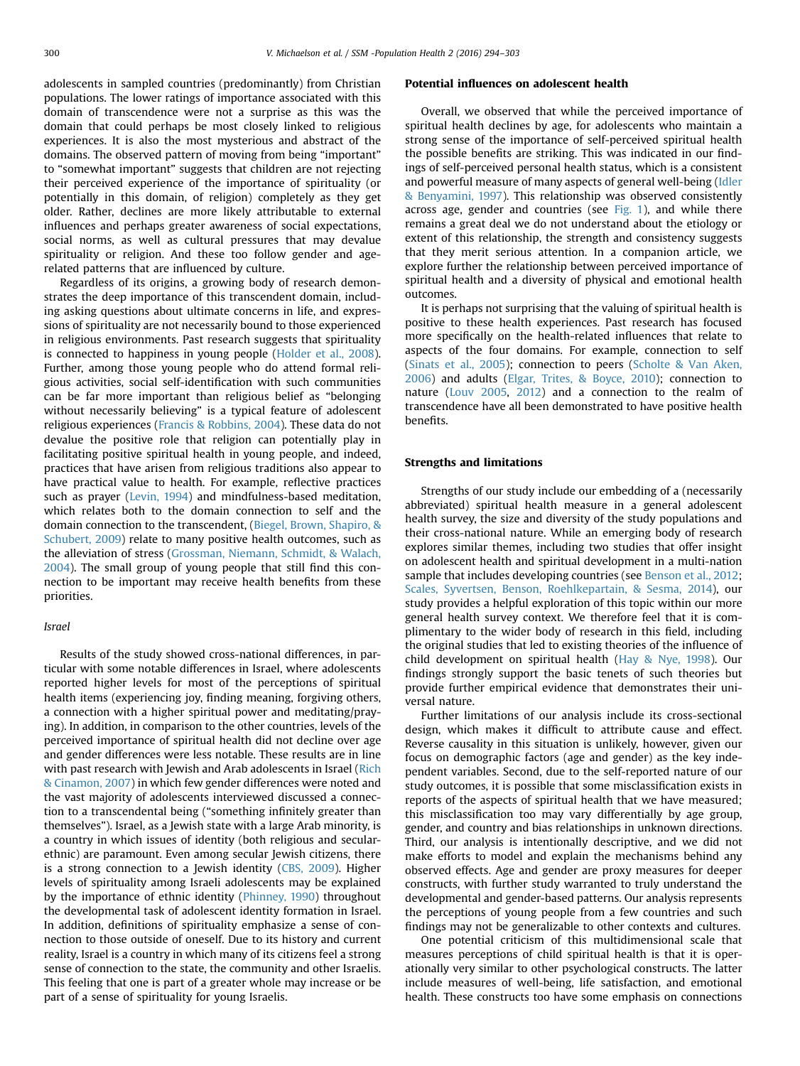adolescents in sampled countries (predominantly) from Christian populations. The lower ratings of importance associated with this domain of transcendence were not a surprise as this was the domain that could perhaps be most closely linked to religious experiences. It is also the most mysterious and abstract of the domains. The observed pattern of moving from being "important" to "somewhat important" suggests that children are not rejecting their perceived experience of the importance of spirituality (or potentially in this domain, of religion) completely as they get older. Rather, declines are more likely attributable to external influences and perhaps greater awareness of social expectations, social norms, as well as cultural pressures that may devalue spirituality or religion. And these too follow gender and agerelated patterns that are influenced by culture.

Regardless of its origins, a growing body of research demonstrates the deep importance of this transcendent domain, including asking questions about ultimate concerns in life, and expressions of spirituality are not necessarily bound to those experienced in religious environments. Past research suggests that spirituality is connected to happiness in young people [\(Holder et al., 2008\)](#page-8-0). Further, among those young people who do attend formal religious activities, social self-identification with such communities can be far more important than religious belief as "belonging without necessarily believing" is a typical feature of adolescent religious experiences ([Francis & Robbins, 2004\)](#page-8-0). These data do not devalue the positive role that religion can potentially play in facilitating positive spiritual health in young people, and indeed, practices that have arisen from religious traditions also appear to have practical value to health. For example, reflective practices such as prayer [\(Levin, 1994](#page-8-0)) and mindfulness-based meditation, which relates both to the domain connection to self and the domain connection to the transcendent, [\(Biegel, Brown, Shapiro,](#page-7-0) & [Schubert, 2009](#page-7-0)) relate to many positive health outcomes, such as the alleviation of stress ([Grossman, Niemann, Schmidt,](#page-8-0) & [Walach,](#page-8-0) [2004](#page-8-0)). The small group of young people that still find this connection to be important may receive health benefits from these priorities.

# Israel

Results of the study showed cross-national differences, in particular with some notable differences in Israel, where adolescents reported higher levels for most of the perceptions of spiritual health items (experiencing joy, finding meaning, forgiving others, a connection with a higher spiritual power and meditating/praying). In addition, in comparison to the other countries, levels of the perceived importance of spiritual health did not decline over age and gender differences were less notable. These results are in line with past research with Jewish and Arab adolescents in Israel [\(Rich](#page-8-0) [& Cinamon, 2007](#page-8-0)) in which few gender differences were noted and the vast majority of adolescents interviewed discussed a connection to a transcendental being ("something infinitely greater than themselves"). Israel, as a Jewish state with a large Arab minority, is a country in which issues of identity (both religious and secularethnic) are paramount. Even among secular Jewish citizens, there is a strong connection to a Jewish identity ([CBS, 2009](#page-8-0)). Higher levels of spirituality among Israeli adolescents may be explained by the importance of ethnic identity ([Phinney, 1990](#page-8-0)) throughout the developmental task of adolescent identity formation in Israel. In addition, definitions of spirituality emphasize a sense of connection to those outside of oneself. Due to its history and current reality, Israel is a country in which many of its citizens feel a strong sense of connection to the state, the community and other Israelis. This feeling that one is part of a greater whole may increase or be part of a sense of spirituality for young Israelis.

#### Potential influences on adolescent health

Overall, we observed that while the perceived importance of spiritual health declines by age, for adolescents who maintain a strong sense of the importance of self-perceived spiritual health the possible benefits are striking. This was indicated in our findings of self-perceived personal health status, which is a consistent and powerful measure of many aspects of general well-being [\(Idler](#page-8-0) [& Benyamini, 1997](#page-8-0)). This relationship was observed consistently across age, gender and countries (see [Fig. 1](#page-5-0)), and while there remains a great deal we do not understand about the etiology or extent of this relationship, the strength and consistency suggests that they merit serious attention. In a companion article, we explore further the relationship between perceived importance of spiritual health and a diversity of physical and emotional health outcomes.

It is perhaps not surprising that the valuing of spiritual health is positive to these health experiences. Past research has focused more specifically on the health-related influences that relate to aspects of the four domains. For example, connection to self ([Sinats et al., 2005](#page-9-0)); connection to peers ([Scholte](#page-8-0) & [Van Aken,](#page-8-0) [2006](#page-8-0)) and adults [\(Elgar, Trites,](#page-8-0) & [Boyce, 2010](#page-8-0)); connection to nature ([Louv 2005,](#page-8-0) [2012](#page-8-0)) and a connection to the realm of transcendence have all been demonstrated to have positive health benefits.

### Strengths and limitations

Strengths of our study include our embedding of a (necessarily abbreviated) spiritual health measure in a general adolescent health survey, the size and diversity of the study populations and their cross-national nature. While an emerging body of research explores similar themes, including two studies that offer insight on adolescent health and spiritual development in a multi-nation sample that includes developing countries (see [Benson et al., 2012;](#page-7-0) [Scales, Syvertsen, Benson, Roehlkepartain, & Sesma, 2014](#page-8-0)), our study provides a helpful exploration of this topic within our more general health survey context. We therefore feel that it is complimentary to the wider body of research in this field, including the original studies that led to existing theories of the influence of child development on spiritual health ([Hay](#page-8-0) & [Nye, 1998](#page-8-0)). Our findings strongly support the basic tenets of such theories but provide further empirical evidence that demonstrates their universal nature.

Further limitations of our analysis include its cross-sectional design, which makes it difficult to attribute cause and effect. Reverse causality in this situation is unlikely, however, given our focus on demographic factors (age and gender) as the key independent variables. Second, due to the self-reported nature of our study outcomes, it is possible that some misclassification exists in reports of the aspects of spiritual health that we have measured; this misclassification too may vary differentially by age group, gender, and country and bias relationships in unknown directions. Third, our analysis is intentionally descriptive, and we did not make efforts to model and explain the mechanisms behind any observed effects. Age and gender are proxy measures for deeper constructs, with further study warranted to truly understand the developmental and gender-based patterns. Our analysis represents the perceptions of young people from a few countries and such findings may not be generalizable to other contexts and cultures.

One potential criticism of this multidimensional scale that measures perceptions of child spiritual health is that it is operationally very similar to other psychological constructs. The latter include measures of well-being, life satisfaction, and emotional health. These constructs too have some emphasis on connections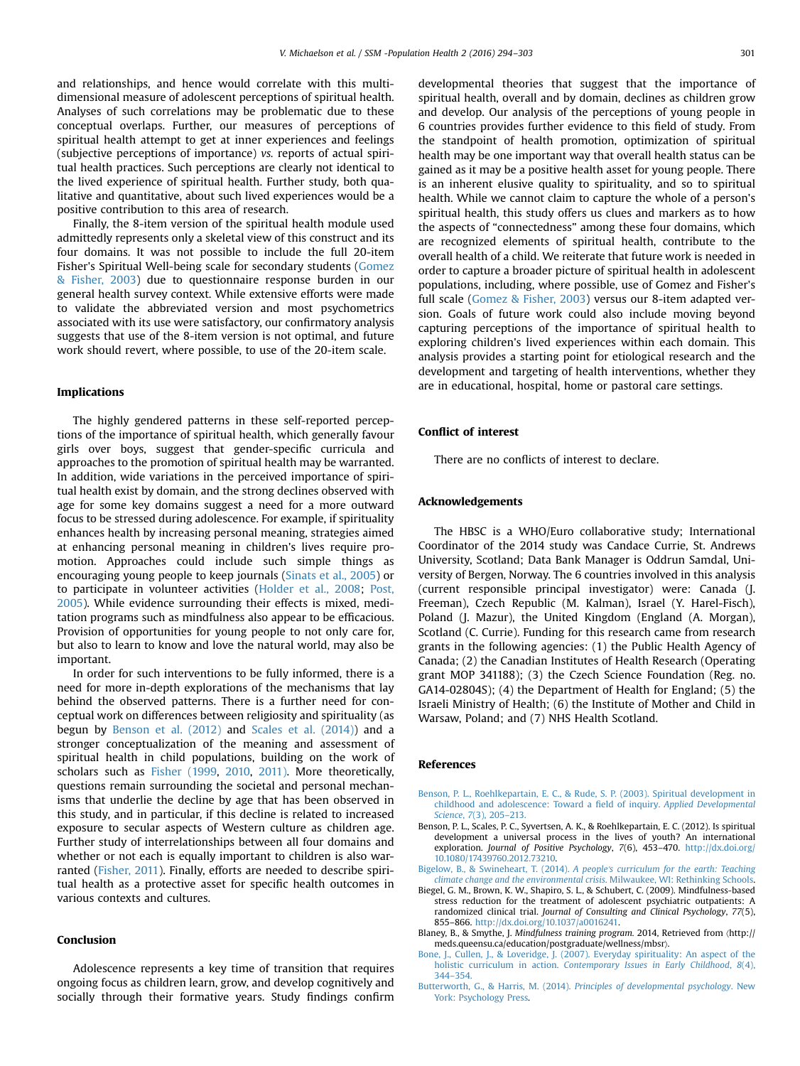<span id="page-7-0"></span>and relationships, and hence would correlate with this multidimensional measure of adolescent perceptions of spiritual health. Analyses of such correlations may be problematic due to these conceptual overlaps. Further, our measures of perceptions of spiritual health attempt to get at inner experiences and feelings (subjective perceptions of importance) vs. reports of actual spiritual health practices. Such perceptions are clearly not identical to the lived experience of spiritual health. Further study, both qualitative and quantitative, about such lived experiences would be a positive contribution to this area of research.

Finally, the 8-item version of the spiritual health module used admittedly represents only a skeletal view of this construct and its four domains. It was not possible to include the full 20-item Fisher's Spiritual Well-being scale for secondary students [\(Gomez](#page-8-0) [& Fisher, 2003\)](#page-8-0) due to questionnaire response burden in our general health survey context. While extensive efforts were made to validate the abbreviated version and most psychometrics associated with its use were satisfactory, our confirmatory analysis suggests that use of the 8-item version is not optimal, and future work should revert, where possible, to use of the 20-item scale.

# Implications

The highly gendered patterns in these self-reported perceptions of the importance of spiritual health, which generally favour girls over boys, suggest that gender-specific curricula and approaches to the promotion of spiritual health may be warranted. In addition, wide variations in the perceived importance of spiritual health exist by domain, and the strong declines observed with age for some key domains suggest a need for a more outward focus to be stressed during adolescence. For example, if spirituality enhances health by increasing personal meaning, strategies aimed at enhancing personal meaning in children's lives require promotion. Approaches could include such simple things as encouraging young people to keep journals ([Sinats et al., 2005](#page-9-0)) or to participate in volunteer activities ([Holder et al., 2008;](#page-8-0) [Post,](#page-8-0) [2005\)](#page-8-0). While evidence surrounding their effects is mixed, meditation programs such as mindfulness also appear to be efficacious. Provision of opportunities for young people to not only care for, but also to learn to know and love the natural world, may also be important.

In order for such interventions to be fully informed, there is a need for more in-depth explorations of the mechanisms that lay behind the observed patterns. There is a further need for conceptual work on differences between religiosity and spirituality (as begun by Benson et al. (2012) and [Scales et al. \(2014\)\)](#page-8-0) and a stronger conceptualization of the meaning and assessment of spiritual health in child populations, building on the work of scholars such as [Fisher \(1999](#page-8-0), [2010](#page-8-0), [2011\).](#page-8-0) More theoretically, questions remain surrounding the societal and personal mechanisms that underlie the decline by age that has been observed in this study, and in particular, if this decline is related to increased exposure to secular aspects of Western culture as children age. Further study of interrelationships between all four domains and whether or not each is equally important to children is also warranted [\(Fisher, 2011](#page-8-0)). Finally, efforts are needed to describe spiritual health as a protective asset for specific health outcomes in various contexts and cultures.

#### Conclusion

Adolescence represents a key time of transition that requires ongoing focus as children learn, grow, and develop cognitively and socially through their formative years. Study findings confirm

developmental theories that suggest that the importance of spiritual health, overall and by domain, declines as children grow and develop. Our analysis of the perceptions of young people in 6 countries provides further evidence to this field of study. From the standpoint of health promotion, optimization of spiritual health may be one important way that overall health status can be gained as it may be a positive health asset for young people. There is an inherent elusive quality to spirituality, and so to spiritual health. While we cannot claim to capture the whole of a person's spiritual health, this study offers us clues and markers as to how the aspects of "connectedness" among these four domains, which are recognized elements of spiritual health, contribute to the overall health of a child. We reiterate that future work is needed in order to capture a broader picture of spiritual health in adolescent populations, including, where possible, use of Gomez and Fisher's full scale [\(Gomez & Fisher, 2003](#page-8-0)) versus our 8-item adapted version. Goals of future work could also include moving beyond capturing perceptions of the importance of spiritual health to exploring children's lived experiences within each domain. This analysis provides a starting point for etiological research and the development and targeting of health interventions, whether they are in educational, hospital, home or pastoral care settings.

#### Conflict of interest

There are no conflicts of interest to declare.

#### Acknowledgements

The HBSC is a WHO/Euro collaborative study; International Coordinator of the 2014 study was Candace Currie, St. Andrews University, Scotland; Data Bank Manager is Oddrun Samdal, University of Bergen, Norway. The 6 countries involved in this analysis (current responsible principal investigator) were: Canada (J. Freeman), Czech Republic (M. Kalman), Israel (Y. Harel-Fisch), Poland (J. Mazur), the United Kingdom (England (A. Morgan), Scotland (C. Currie). Funding for this research came from research grants in the following agencies: (1) the Public Health Agency of Canada; (2) the Canadian Institutes of Health Research (Operating grant MOP 341188); (3) the Czech Science Foundation (Reg. no. GA14-02804S); (4) the Department of Health for England; (5) the Israeli Ministry of Health; (6) the Institute of Mother and Child in Warsaw, Poland; and (7) NHS Health Scotland.

#### References

- [Benson, P. L., Roehlkepartain, E. C., & Rude, S. P. \(2003\). Spiritual development in](http://refhub.elsevier.com/S2352-8273(16)30005-2/sbref1) [childhood and adolescence: Toward a](http://refhub.elsevier.com/S2352-8273(16)30005-2/sbref1) field of inquiry. Applied Developmental Science, 7[\(3\), 205](http://refhub.elsevier.com/S2352-8273(16)30005-2/sbref1)–213.
- Benson, P. L., Scales, P. C., Syvertsen, A. K., & Roehlkepartain, E. C. (2012). Is spiritual development a universal process in the lives of youth? An international exploration. Journal of Positive Psychology, 7(6), 453-470. [http://dx.doi.org/](http://dx.doi.org/10.1080/17439760.2012.73210) [10.1080/17439760.2012.73210.](http://dx.doi.org/10.1080/17439760.2012.73210)
- [Bigelow, B., & Swineheart, T. \(2014\).](http://refhub.elsevier.com/S2352-8273(16)30005-2/sbref3) A people's curriculum for the earth: Teaching [climate change and the environmental crisis](http://refhub.elsevier.com/S2352-8273(16)30005-2/sbref3). Milwaukee, WI: Rethinking Schools.
- Biegel, G. M., Brown, K. W., Shapiro, S. L., & Schubert, C. (2009). Mindfulness-based stress reduction for the treatment of adolescent psychiatric outpatients: A randomized clinical trial. Journal of Consulting and Clinical Psychology, 77(5), 855–866. <http://dx.doi.org/10.1037/a0016241>.
- Blaney, B., & Smythe, J. Mindfulness training program. 2014, Retrieved from 〈http:// meds.queensu.ca/education/postgraduate/wellness/mbsr〉.
- [Bone, J., Cullen, J., & Loveridge, J. \(2007\). Everyday spirituality: An aspect of the](http://refhub.elsevier.com/S2352-8273(16)30005-2/sbref5) holistic curriculum in action. [Contemporary Issues in Early Childhood](http://refhub.elsevier.com/S2352-8273(16)30005-2/sbref5), 8(4), [344](http://refhub.elsevier.com/S2352-8273(16)30005-2/sbref5)–[354.](http://refhub.elsevier.com/S2352-8273(16)30005-2/sbref5)
- Butterworth, G., & Harris, M. (2014). [Principles of developmental psychology](http://refhub.elsevier.com/S2352-8273(16)30005-2/sbref6). New [York: Psychology Press.](http://refhub.elsevier.com/S2352-8273(16)30005-2/sbref6)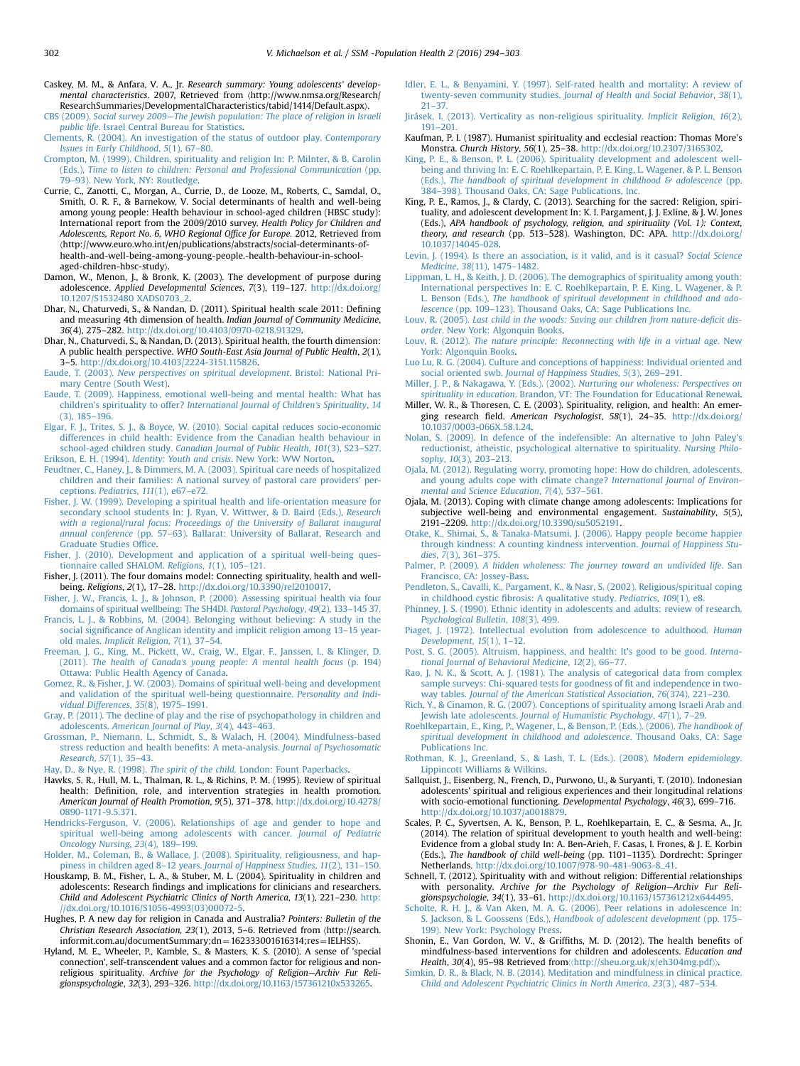- <span id="page-8-0"></span>Caskey, M. M., & Anfara, V. A., Jr. Research summary: Young adolescents' developmental characteristics. 2007, Retrieved from 〈http://www.nmsa.org/Research/ ResearchSummaries/DevelopmentalCharacteristics/tabid/1414/Default.aspx〉.
- CBS (2009). Social survey 2009—[The Jewish population: The place of religion in Israeli](http://refhub.elsevier.com/S2352-8273(16)30005-2/sbref7) public life[. Israel Central Bureau for Statistics.](http://refhub.elsevier.com/S2352-8273(16)30005-2/sbref7) [Clements, R. \(2004\). An investigation of the status of outdoor play.](http://refhub.elsevier.com/S2352-8273(16)30005-2/sbref8) Contemporary
- [Issues in Early Childhood](http://refhub.elsevier.com/S2352-8273(16)30005-2/sbref8), 5(1), 67–80.
- [Crompton, M. \(1999\). Children, spirituality and religion In: P. Milnter, & B. Carolin](http://refhub.elsevier.com/S2352-8273(16)30005-2/sbref9) (Eds.), [Time to listen to children: Personal and Professional Communication](http://refhub.elsevier.com/S2352-8273(16)30005-2/sbref9) (pp. 79–[93\). New York, NY: Routledge.](http://refhub.elsevier.com/S2352-8273(16)30005-2/sbref9)
- Currie, C., Zanotti, C., Morgan, A., Currie, D., de Looze, M., Roberts, C., Samdal, O., Smith, O. R. F., & Barnekow, V. Social determinants of health and well-being among young people: Health behaviour in school-aged children (HBSC study): International report from the 2009/2010 survey. Health Policy for Children and Adolescents, Report No. 6, WHO Regional Office for Europe. 2012, Retrieved from 〈http://www.euro.who.int/en/publications/abstracts/social-determinants-ofhealth-and-well-being-among-young-people.-health-behaviour-in-schoolaged-children-hbsc-study〉.
- Damon, W., Menon, J., & Bronk, K. (2003). The development of purpose during adolescence. Applied Developmental Sciences, 7(3), 119–127. [http://dx.doi.org/](http://dx.doi.org/10.1207/S1532480 XADS0703_2) [10.1207/S1532480 XADS0703\\_2.](http://dx.doi.org/10.1207/S1532480 XADS0703_2)
- Dhar, N., Chaturvedi, S., & Nandan, D. (2011). Spiritual health scale 2011: Defining and measuring 4th dimension of health. Indian Journal of Community Medicine, 36(4), 275–282. <http://dx.doi.org/10.4103/0970-0218.91329>.
- Dhar, N., Chaturvedi, S., & Nandan, D. (2013). Spiritual health, the fourth dimension: A public health perspective. WHO South-East Asia Journal of Public Health, 2(1), 3–5. [http://dx.doi.org/10.4103/2224-3151.115826.](http://dx.doi.org/10.4103/2224-3151.115826)
- Eaude, T. (2003). [New perspectives on spiritual development](http://refhub.elsevier.com/S2352-8273(16)30005-2/sbref13). Bristol: National Pri[mary Centre \(South West\).](http://refhub.elsevier.com/S2352-8273(16)30005-2/sbref13)
- [Eaude, T. \(2009\). Happiness, emotional well-being and mental health: What has](http://refhub.elsevier.com/S2352-8273(16)30005-2/sbref14) children's spirituality to offer? [International Journal of Children](http://refhub.elsevier.com/S2352-8273(16)30005-2/sbref14)'s Spirituality, 14 [\(3\), 185](http://refhub.elsevier.com/S2352-8273(16)30005-2/sbref14)–196.
- [Elgar, F. J., Trites, S. J., & Boyce, W. \(2010\). Social capital reduces socio-economic](http://refhub.elsevier.com/S2352-8273(16)30005-2/sbref15) [differences in child health: Evidence from the Canadian health behaviour in](http://refhub.elsevier.com/S2352-8273(16)30005-2/sbref15) school-aged children study. [Canadian Journal of Public Health](http://refhub.elsevier.com/S2352-8273(16)30005-2/sbref15), 101(3), S23–S27. Erikson, E. H. (1994). Identity: Youth and crisis[. New York: WW Norton.](http://refhub.elsevier.com/S2352-8273(16)30005-2/sbref16)
- [Feudtner, C., Haney, J., & Dimmers, M. A. \(2003\). Spiritual care needs of hospitalized](http://refhub.elsevier.com/S2352-8273(16)30005-2/sbref17)
- [children and their families: A national survey of pastoral care providers](http://refhub.elsevier.com/S2352-8273(16)30005-2/sbref17)' perceptions. [Pediatrics](http://refhub.elsevier.com/S2352-8273(16)30005-2/sbref17), 111(1), e67–e72.
- [Fisher, J. W. \(1999\). Developing a spiritual health and life-orientation measure for](http://refhub.elsevier.com/S2352-8273(16)30005-2/sbref18) [secondary school students In: J. Ryan, V. Wittwer, & D. Baird \(Eds.\),](http://refhub.elsevier.com/S2352-8273(16)30005-2/sbref18) Research [with a regional/rural focus: Proceedings of the University of Ballarat inaugural](http://refhub.elsevier.com/S2352-8273(16)30005-2/sbref18) annual conference (pp. 57–[63\). Ballarat: University of Ballarat, Research and](http://refhub.elsevier.com/S2352-8273(16)30005-2/sbref18) [Graduate Studies Of](http://refhub.elsevier.com/S2352-8273(16)30005-2/sbref18)fice.
- [Fisher, J. \(2010\). Development and application of a spiritual well-being ques](http://refhub.elsevier.com/S2352-8273(16)30005-2/sbref19)[tionnaire called SHALOM.](http://refhub.elsevier.com/S2352-8273(16)30005-2/sbref19) Religions, 1(1), 105–121.
- Fisher, J. (2011). The four domains model: Connecting spirituality, health and wellbeing. Religions, 2(1), 17–28. [http://dx.doi.org/10.3390/rel2010017.](http://dx.doi.org/10.3390/rel2010017)
- [Fisher, J. W., Francis, L. J., & Johnson, P. \(2000\). Assessing spiritual health via four](http://refhub.elsevier.com/S2352-8273(16)30005-2/sbref21) [domains of spiritual wellbeing: The SH4DI.](http://refhub.elsevier.com/S2352-8273(16)30005-2/sbref21) Pastoral Psychology, 49(2), 133–145 37.
- [Francis, L. J., & Robbins, M. \(2004\). Belonging without believing: A study in the](http://refhub.elsevier.com/S2352-8273(16)30005-2/sbref22) social signifi[cance of Anglican identity and implicit religion among 13](http://refhub.elsevier.com/S2352-8273(16)30005-2/sbref22)–15 yearold males. [Implicit Religion](http://refhub.elsevier.com/S2352-8273(16)30005-2/sbref22), 7(1), 37–54.
- [Freeman, J. G., King, M., Pickett, W., Craig, W., Elgar, F., Janssen, I., & Klinger, D.](http://refhub.elsevier.com/S2352-8273(16)30005-2/sbref23) (2011). The health of Canada'[s young people: A mental health focus](http://refhub.elsevier.com/S2352-8273(16)30005-2/sbref23) (p. 194) [Ottawa: Public Health Agency of Canada.](http://refhub.elsevier.com/S2352-8273(16)30005-2/sbref23)
- [Gomez, R., & Fisher, J. W. \(2003\). Domains of spiritual well-being and development](http://refhub.elsevier.com/S2352-8273(16)30005-2/sbref24) [and validation of the spiritual well-being questionnaire.](http://refhub.elsevier.com/S2352-8273(16)30005-2/sbref24) Personality and Indi[vidual Differences](http://refhub.elsevier.com/S2352-8273(16)30005-2/sbref24), 35(8), 1975–1991.
- [Gray, P. \(2011\). The decline of play and the rise of psychopathology in children and](http://refhub.elsevier.com/S2352-8273(16)30005-2/sbref25) adolescents. [American Journal of Play](http://refhub.elsevier.com/S2352-8273(16)30005-2/sbref25), 3(4), 443–463.
- [Grossman, P., Niemann, L., Schmidt, S., & Walach, H. \(2004\). Mindfulness-based](http://refhub.elsevier.com/S2352-8273(16)30005-2/sbref26) [stress reduction and health bene](http://refhub.elsevier.com/S2352-8273(16)30005-2/sbref26)fits: A meta-analysis. Journal of Psychosomatic [Research](http://refhub.elsevier.com/S2352-8273(16)30005-2/sbref26), 57(1), 35–43.
- Hay, D., & Nye, R. (1998). The spirit of the child[. London: Fount Paperbacks.](http://refhub.elsevier.com/S2352-8273(16)30005-2/sbref27)
- Hawks, S. R., Hull, M. L., Thalman, R. L., & Richins, P. M. (1995). Review of spiritual health: Definition, role, and intervention strategies in health promotion. American Journal of Health Promotion, 9(5), 371–378. [http://dx.doi.org/10.4278/](http://dx.doi.org/10.4278/0890-1171-9.5.371) [0890-1171-9.5.371.](http://dx.doi.org/10.4278/0890-1171-9.5.371)
- [Hendricks-Ferguson, V. \(2006\). Relationships of age and gender to hope and](http://refhub.elsevier.com/S2352-8273(16)30005-2/sbref29) [spiritual well-being among adolescents with cancer.](http://refhub.elsevier.com/S2352-8273(16)30005-2/sbref29) Journal of Pediatric [Oncology Nursing](http://refhub.elsevier.com/S2352-8273(16)30005-2/sbref29), 23(4), 189–199.
- [Holder, M., Coleman, B., & Wallace, J. \(2008\). Spirituality, religiousness, and hap](http://refhub.elsevier.com/S2352-8273(16)30005-2/sbref30)piness in children aged 8–12 years. [Journal of Happiness Studies](http://refhub.elsevier.com/S2352-8273(16)30005-2/sbref30), 11(2), 131–150.
- Houskamp, B. M., Fisher, L. A., & Stuber, M. L. (2004). Spirituality in children and adolescents: Research findings and implications for clinicians and researchers. Child and Adolescent Psychiatric Clinics of North America, 13(1), 221–230. [http:](http://dx.doi.org/10.1016/S1056-4993(03)00072-5) [//dx.doi.org/10.1016/S1056-4993\(03\)00072-5.](http://dx.doi.org/10.1016/S1056-4993(03)00072-5)
- Hughes, P. A new day for religion in Canada and Australia? Pointers: Bulletin of the Christian Research Association, 23(1), 2013, 5–6. Retrieved from 〈http://search. informit.com.au/documentSummary;dn = 162333001616314;res = IELHSS).
- Hyland, M. E., Wheeler, P., Kamble, S., & Masters, K. S. (2010). A sense of 'special connection', self-transcendent values and a common factor for religious and nonreligious spirituality. Archive for the Psychology of Religion—Archiv Fur Religionspsychologie, 32(3), 293–326. [http://dx.doi.org/10.1163/157361210x533265.](http://dx.doi.org/10.1163/157361210x533265)
- [Idler, E. L., & Benyamini, Y. \(1997\). Self-rated health and mortality: A review of](http://refhub.elsevier.com/S2352-8273(16)30005-2/sbref33) twenty-seven community studies. [Journal of Health and Social Behavior](http://refhub.elsevier.com/S2352-8273(16)30005-2/sbref33), 38(1), [21](http://refhub.elsevier.com/S2352-8273(16)30005-2/sbref33)–[37.](http://refhub.elsevier.com/S2352-8273(16)30005-2/sbref33)
- [Jirásek, I. \(2013\). Verticality as non-religious spirituality.](http://refhub.elsevier.com/S2352-8273(16)30005-2/sbref934) Implicit Religion, 16(2), [191](http://refhub.elsevier.com/S2352-8273(16)30005-2/sbref934)–[201.](http://refhub.elsevier.com/S2352-8273(16)30005-2/sbref934)
- Kaufman, P. I. (1987). Humanist spirituality and ecclesial reaction: Thomas More's Monstra. Church History, 56(1), 25–38. [http://dx.doi.org/10.2307/3165302.](http://dx.doi.org/10.2307/3165302)
- [King, P. E., & Benson, P. L. \(2006\). Spirituality development and adolescent well](http://refhub.elsevier.com/S2352-8273(16)30005-2/sbref35)[being and thriving In: E. C. Roehlkepartain, P. E. King, L. Wagener, & P. L. Benson](http://refhub.elsevier.com/S2352-8273(16)30005-2/sbref35) (Eds.), [The handbook of spiritual development in childhood](http://refhub.elsevier.com/S2352-8273(16)30005-2/sbref35)  $\mathcal G$  [adolescence](http://refhub.elsevier.com/S2352-8273(16)30005-2/sbref35) (pp. 384–[398\). Thousand Oaks, CA: Sage Publications, Inc.](http://refhub.elsevier.com/S2352-8273(16)30005-2/sbref35)
- King, P. E., Ramos, J., & Clardy, C. (2013). Searching for the sacred: Religion, spirituality, and adolescent development In: K. I. Pargament, J. J. Exline, & J. W. Jones (Eds.), APA handbook of psychology, religion, and spirituality (Vol. 1): Context, theory, and research (pp. 513-528). Washington, DC: APA. [http://dx.doi.org/](http://dx.doi.org/10.1037/14045-028) [10.1037/14045-028](http://dx.doi.org/10.1037/14045-028).
- [Levin, J. \(1994\). Is there an association, is it valid, and is it casual?](http://refhub.elsevier.com/S2352-8273(16)30005-2/sbref37) Social Science Medicine, 38[\(11\), 1475](http://refhub.elsevier.com/S2352-8273(16)30005-2/sbref37)–1482.
- [Lippman, L. H., & Keith, J. D. \(2006\). The demographics of spirituality among youth:](http://refhub.elsevier.com/S2352-8273(16)30005-2/sbref38) [International perspectives In: E. C. Roehlkepartain, P. E. King, L. Wagener, & P.](http://refhub.elsevier.com/S2352-8273(16)30005-2/sbref38) L. Benson (Eds.), [The handbook of spiritual development in childhood and ado](http://refhub.elsevier.com/S2352-8273(16)30005-2/sbref38)lescence (pp. 109–[123\). Thousand Oaks, CA: Sage Publications Inc.](http://refhub.elsevier.com/S2352-8273(16)30005-2/sbref38)
- Louv, R. (2005). [Last child in the woods: Saving our children from nature-de](http://refhub.elsevier.com/S2352-8273(16)30005-2/sbref39)ficit disorder[. New York: Algonquin Books.](http://refhub.elsevier.com/S2352-8273(16)30005-2/sbref39)
- Louv, R. (2012). [The nature principle: Reconnecting with life in a virtual age](http://refhub.elsevier.com/S2352-8273(16)30005-2/sbref40). New [York: Algonquin Books.](http://refhub.elsevier.com/S2352-8273(16)30005-2/sbref40)
- [Luo Lu, R. G. \(2004\). Culture and conceptions of happiness: Individual oriented and](http://refhub.elsevier.com/S2352-8273(16)30005-2/sbref41) social oriented swb. [Journal of Happiness Studies](http://refhub.elsevier.com/S2352-8273(16)30005-2/sbref41), 5(3), 269–291.
- [Miller, J. P., & Nakagawa, Y. \(Eds.\). \(2002\).](http://refhub.elsevier.com/S2352-8273(16)30005-2/sbref42) Nurturing our wholeness: Perspectives on spirituality in education[. Brandon, VT: The Foundation for Educational Renewal.](http://refhub.elsevier.com/S2352-8273(16)30005-2/sbref42)
- Miller, W. R., & Thoresen, C. E. (2003). Spirituality, religion, and health: An emerging research field. American Psychologist, 58(1), 24–35. [http://dx.doi.org/](http://dx.doi.org/10.1037/0003-066X.58.1.24) [10.1037/0003-066X.58.1.24](http://dx.doi.org/10.1037/0003-066X.58.1.24).
- [Nolan, S. \(2009\). In defence of the indefensible: An alternative to John Paley's](http://refhub.elsevier.com/S2352-8273(16)30005-2/sbref44) [reductionist, atheistic, psychological alternative to spirituality.](http://refhub.elsevier.com/S2352-8273(16)30005-2/sbref44) Nursing Philosophy, 10[\(3\), 203](http://refhub.elsevier.com/S2352-8273(16)30005-2/sbref44)–213.
- [Ojala, M. \(2012\). Regulating worry, promoting hope: How do children, adolescents,](http://refhub.elsevier.com/S2352-8273(16)30005-2/sbref45) [and young adults cope with climate change?](http://refhub.elsevier.com/S2352-8273(16)30005-2/sbref45) International Journal of Environ[mental and Science Education](http://refhub.elsevier.com/S2352-8273(16)30005-2/sbref45), 7(4), 537–561.
- Ojala, M. (2013). Coping with climate change among adolescents: Implications for subjective well-being and environmental engagement. Sustainability, 5(5), 2191–2209. [http://dx.doi.org/10.3390/su5052191.](http://dx.doi.org/10.3390/su5052191)
- [Otake, K., Shimai, S., & Tanaka-Matsumi, J. \(2006\). Happy people become happier](http://refhub.elsevier.com/S2352-8273(16)30005-2/sbref47) [through kindness: A counting kindness intervention.](http://refhub.elsevier.com/S2352-8273(16)30005-2/sbref47) Journal of Happiness Studies, 7[\(3\), 361](http://refhub.elsevier.com/S2352-8273(16)30005-2/sbref47)–375.
- Palmer, P. (2009). [A hidden wholeness: The journey toward an undivided life](http://refhub.elsevier.com/S2352-8273(16)30005-2/sbref48). San [Francisco, CA: Jossey-Bass.](http://refhub.elsevier.com/S2352-8273(16)30005-2/sbref48)
- [Pendleton, S., Cavalli, K., Pargament, K., & Nasr, S. \(2002\). Religious/spiritual coping](http://refhub.elsevier.com/S2352-8273(16)30005-2/sbref49) in childhood cystic fi[brosis: A qualitative study.](http://refhub.elsevier.com/S2352-8273(16)30005-2/sbref49) Pediatrics, 109(1), e8.
- [Phinney, J. S. \(1990\). Ethnic identity in adolescents and adults: review of research.](http://refhub.elsevier.com/S2352-8273(16)30005-2/sbref50) [Psychological Bulletin](http://refhub.elsevier.com/S2352-8273(16)30005-2/sbref50), 108(3), 499.
- [Piaget, J. \(1972\). Intellectual evolution from adolescence to adulthood.](http://refhub.elsevier.com/S2352-8273(16)30005-2/sbref51) Human [Development](http://refhub.elsevier.com/S2352-8273(16)30005-2/sbref51), 15(1), 1–12.
- [Post, S. G. \(2005\). Altruism, happiness, and health: It's good to be good.](http://refhub.elsevier.com/S2352-8273(16)30005-2/sbref52) Interna[tional Journal of Behavioral Medicine](http://refhub.elsevier.com/S2352-8273(16)30005-2/sbref52), 12(2), 66–77.
- [Rao, J. N. K., & Scott, A. J. \(1981\). The analysis of categorical data from complex](http://refhub.elsevier.com/S2352-8273(16)30005-2/sbref53) [sample surveys: Chi-squared tests for goodness of](http://refhub.elsevier.com/S2352-8273(16)30005-2/sbref53) fit and independence in twoway tables. [Journal of the American Statistical Association](http://refhub.elsevier.com/S2352-8273(16)30005-2/sbref53), 76(374), 221–230.
- [Rich, Y., & Cinamon, R. G. \(2007\). Conceptions of spirituality among Israeli Arab and](http://refhub.elsevier.com/S2352-8273(16)30005-2/sbref54) Jewish late adolescents. [Journal of Humanistic Psychology](http://refhub.elsevier.com/S2352-8273(16)30005-2/sbref54), 47(1), 7–29.
- [Roehlkepartain, E., King, P., Wagener, L., & Benson, P. \(Eds.\). \(2006\).](http://refhub.elsevier.com/S2352-8273(16)30005-2/sbref55) The handbook of [spiritual development in childhood and adolescence](http://refhub.elsevier.com/S2352-8273(16)30005-2/sbref55). Thousand Oaks, CA: Sage [Publications Inc.](http://refhub.elsevier.com/S2352-8273(16)30005-2/sbref55)
- [Rothman, K. J., Greenland, S., & Lash, T. L. \(Eds.\). \(2008\).](http://refhub.elsevier.com/S2352-8273(16)30005-2/sbref56) Modern epidemiology. [Lippincott Williams & Wilkins.](http://refhub.elsevier.com/S2352-8273(16)30005-2/sbref56)
- Sallquist, J., Eisenberg, N., French, D., Purwono, U., & Suryanti, T. (2010). Indonesian adolescents' spiritual and religious experiences and their longitudinal relations with socio-emotional functioning. Developmental Psychology, 46(3), 699–716. <http://dx.doi.org/10.1037/a0018879>.
- Scales, P. C., Syvertsen, A. K., Benson, P. L., Roehlkepartain, E. C., & Sesma, A., Jr. (2014). The relation of spiritual development to youth health and well-being: Evidence from a global study In: A. Ben-Arieh, F. Casas, I. Frones, & J. E. Korbin (Eds.), The handbook of child well-being (pp. 1101–1135). Dordrecht: Springer Netherlands. [http://dx.doi.org/10.1007/978-90-481-9063-8\\_41.](http://dx.doi.org/10.1007/978-90-481-9063-8_41)
- Schnell, T. (2012). Spirituality with and without religion: Differential relationships with personality. Archive for the Psychology of Religion—Archiv Fur Religionspsychologie, 34(1), 33–61. [http://dx.doi.org/10.1163/157361212x644495.](http://dx.doi.org/10.1163/157361212x644495)
- [Scholte, R. H. J., & Van Aken, M. A. G. \(2006\). Peer relations in adolescence In:](http://refhub.elsevier.com/S2352-8273(16)30005-2/sbref60) S. Jackson, & L. Goossens (Eds.), [Handbook of adolescent development](http://refhub.elsevier.com/S2352-8273(16)30005-2/sbref60) (pp. 175– [199\). New York: Psychology Press.](http://refhub.elsevier.com/S2352-8273(16)30005-2/sbref60)
- Shonin, E., Van Gordon, W. V., & Griffiths, M. D. (2012). The health benefits of mindfulness-based interventions for children and adolescents. Education and Health, 30(4), 95–98 Retrieved from〈〈<http://sheu.org.uk/x/eh304mg.pdf>〉〉.
- [Simkin, D. R., & Black, N. B. \(2014\). Meditation and mindfulness in clinical practice.](http://refhub.elsevier.com/S2352-8273(16)30005-2/sbref62) [Child and Adolescent Psychiatric Clinics in North America](http://refhub.elsevier.com/S2352-8273(16)30005-2/sbref62), 23(3), 487–534.